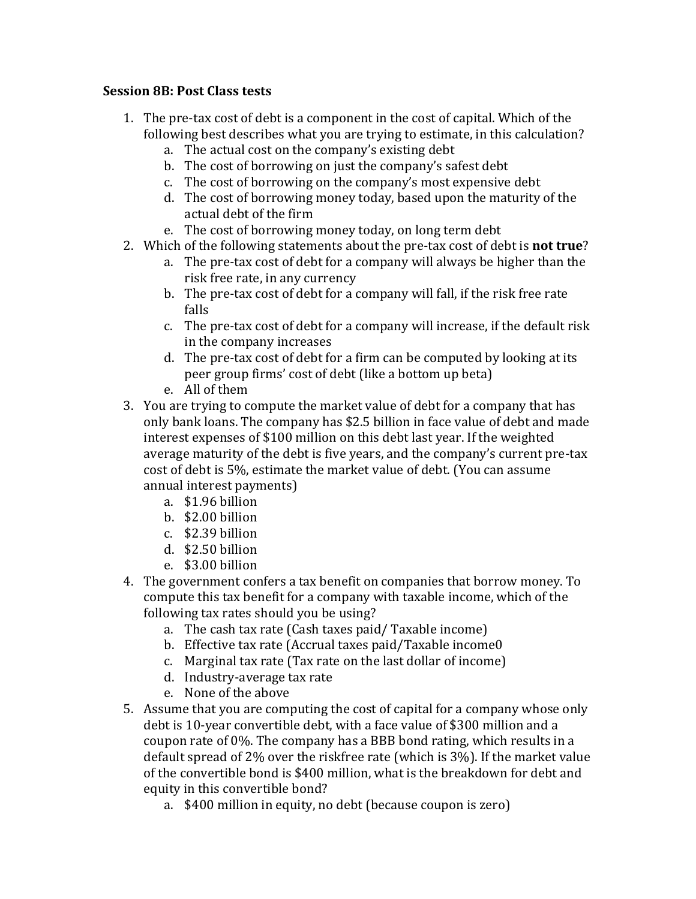## **Session 8B: Post Class tests**

- 1. The pre-tax cost of debt is a component in the cost of capital. Which of the following best describes what you are trying to estimate, in this calculation?
	- a. The actual cost on the company's existing debt
	- b. The cost of borrowing on just the company's safest debt
	- c. The cost of borrowing on the company's most expensive debt
	- d. The cost of borrowing money today, based upon the maturity of the actual debt of the firm
	- e. The cost of borrowing money today, on long term debt
- 2. Which of the following statements about the pre-tax cost of debt is **not true**?
	- a. The pre-tax cost of debt for a company will always be higher than the risk free rate, in any currency
	- b. The pre-tax cost of debt for a company will fall, if the risk free rate falls
	- c. The pre-tax cost of debt for a company will increase, if the default risk in the company increases
	- d. The pre-tax cost of debt for a firm can be computed by looking at its peer group firms' cost of debt (like a bottom up beta)
	- e. All of them
- 3. You are trying to compute the market value of debt for a company that has only bank loans. The company has \$2.5 billion in face value of debt and made interest expenses of \$100 million on this debt last year. If the weighted average maturity of the debt is five years, and the company's current pre-tax cost of debt is 5%, estimate the market value of debt. (You can assume annual interest payments)
	- a. \$1.96 billion
	- b. \$2.00 billion
	- $c.$  \$2.39 billion
	- d. \$2.50 billion
	- e. \$3.00 billion
- 4. The government confers a tax benefit on companies that borrow money. To compute this tax benefit for a company with taxable income, which of the following tax rates should you be using?
	- a. The cash tax rate (Cash taxes paid/ Taxable income)
	- b. Effective tax rate (Accrual taxes paid/Taxable income0
	- c. Marginal tax rate  $(Tax rate on the last dollar of income)$
	- d. Industry-average tax rate
	- e. None of the above
- 5. Assume that you are computing the cost of capital for a company whose only debt is 10-year convertible debt, with a face value of \$300 million and a coupon rate of 0%. The company has a BBB bond rating, which results in a default spread of 2% over the riskfree rate (which is  $3\%$ ). If the market value of the convertible bond is \$400 million, what is the breakdown for debt and equity in this convertible bond?
	- a. \$400 million in equity, no debt (because coupon is zero)